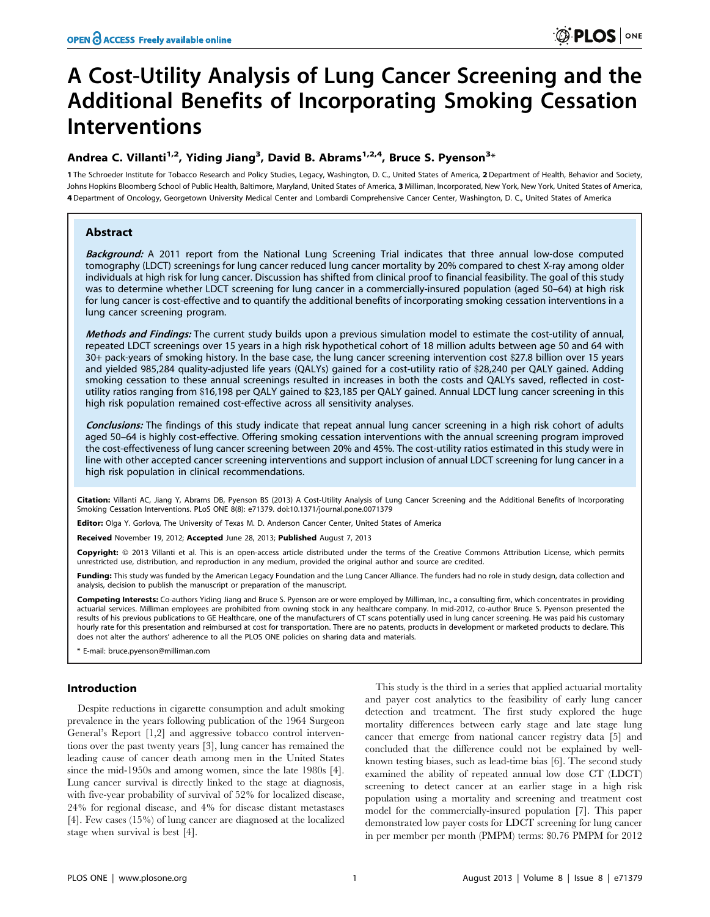# A Cost-Utility Analysis of Lung Cancer Screening and the Additional Benefits of Incorporating Smoking Cessation Interventions

# Andrea C. Villanti<sup>1,2</sup>, Yiding Jiang<sup>3</sup>, David B. Abrams<sup>1,2,4</sup>, Bruce S. Pyenson<sup>3</sup>\*

1 The Schroeder Institute for Tobacco Research and Policy Studies, Legacy, Washington, D. C., United States of America, 2 Department of Health, Behavior and Society, Johns Hopkins Bloomberg School of Public Health, Baltimore, Maryland, United States of America, 3 Milliman, Incorporated, New York, New York, United States of America, 4 Department of Oncology, Georgetown University Medical Center and Lombardi Comprehensive Cancer Center, Washington, D. C., United States of America

# Abstract

Background: A 2011 report from the National Lung Screening Trial indicates that three annual low-dose computed tomography (LDCT) screenings for lung cancer reduced lung cancer mortality by 20% compared to chest X-ray among older individuals at high risk for lung cancer. Discussion has shifted from clinical proof to financial feasibility. The goal of this study was to determine whether LDCT screening for lung cancer in a commercially-insured population (aged 50–64) at high risk for lung cancer is cost-effective and to quantify the additional benefits of incorporating smoking cessation interventions in a lung cancer screening program.

Methods and Findings: The current study builds upon a previous simulation model to estimate the cost-utility of annual, repeated LDCT screenings over 15 years in a high risk hypothetical cohort of 18 million adults between age 50 and 64 with 30+ pack-years of smoking history. In the base case, the lung cancer screening intervention cost \$27.8 billion over 15 years and yielded 985,284 quality-adjusted life years (QALYs) gained for a cost-utility ratio of \$28,240 per QALY gained. Adding smoking cessation to these annual screenings resulted in increases in both the costs and QALYs saved, reflected in costutility ratios ranging from \$16,198 per QALY gained to \$23,185 per QALY gained. Annual LDCT lung cancer screening in this high risk population remained cost-effective across all sensitivity analyses.

Conclusions: The findings of this study indicate that repeat annual lung cancer screening in a high risk cohort of adults aged 50–64 is highly cost-effective. Offering smoking cessation interventions with the annual screening program improved the cost-effectiveness of lung cancer screening between 20% and 45%. The cost-utility ratios estimated in this study were in line with other accepted cancer screening interventions and support inclusion of annual LDCT screening for lung cancer in a high risk population in clinical recommendations.

Citation: Villanti AC, Jiang Y, Abrams DB, Pyenson BS (2013) A Cost-Utility Analysis of Lung Cancer Screening and the Additional Benefits of Incorporating Smoking Cessation Interventions. PLoS ONE 8(8): e71379. doi:10.1371/journal.pone.0071379

Editor: Olga Y. Gorlova, The University of Texas M. D. Anderson Cancer Center, United States of America

Received November 19, 2012; Accepted June 28, 2013; Published August 7, 2013

Copyright: © 2013 Villanti et al. This is an open-access article distributed under the terms of the Creative Commons Attribution License, which permits unrestricted use, distribution, and reproduction in any medium, provided the original author and source are credited.

Funding: This study was funded by the American Legacy Foundation and the Lung Cancer Alliance. The funders had no role in study design, data collection and analysis, decision to publish the manuscript or preparation of the manuscript.

Competing Interests: Co-authors Yiding Jiang and Bruce S. Pyenson are or were employed by Milliman, Inc., a consulting firm, which concentrates in providing actuarial services. Milliman employees are prohibited from owning stock in any healthcare company. In mid-2012, co-author Bruce S. Pyenson presented the results of his previous publications to GE Healthcare, one of the manufacturers of CT scans potentially used in lung cancer screening. He was paid his customary hourly rate for this presentation and reimbursed at cost for transportation. There are no patents, products in development or marketed products to declare. This does not alter the authors' adherence to all the PLOS ONE policies on sharing data and materials.

\* E-mail: bruce.pyenson@milliman.com

# Introduction

Despite reductions in cigarette consumption and adult smoking prevalence in the years following publication of the 1964 Surgeon General's Report [1,2] and aggressive tobacco control interventions over the past twenty years [3], lung cancer has remained the leading cause of cancer death among men in the United States since the mid-1950s and among women, since the late 1980s [4]. Lung cancer survival is directly linked to the stage at diagnosis, with five-year probability of survival of 52% for localized disease, 24% for regional disease, and 4% for disease distant metastases [4]. Few cases (15%) of lung cancer are diagnosed at the localized stage when survival is best [4].

This study is the third in a series that applied actuarial mortality and payer cost analytics to the feasibility of early lung cancer detection and treatment. The first study explored the huge mortality differences between early stage and late stage lung cancer that emerge from national cancer registry data [5] and concluded that the difference could not be explained by wellknown testing biases, such as lead-time bias [6]. The second study examined the ability of repeated annual low dose CT (LDCT) screening to detect cancer at an earlier stage in a high risk population using a mortality and screening and treatment cost model for the commercially-insured population [7]. This paper demonstrated low payer costs for LDCT screening for lung cancer in per member per month (PMPM) terms: \$0.76 PMPM for 2012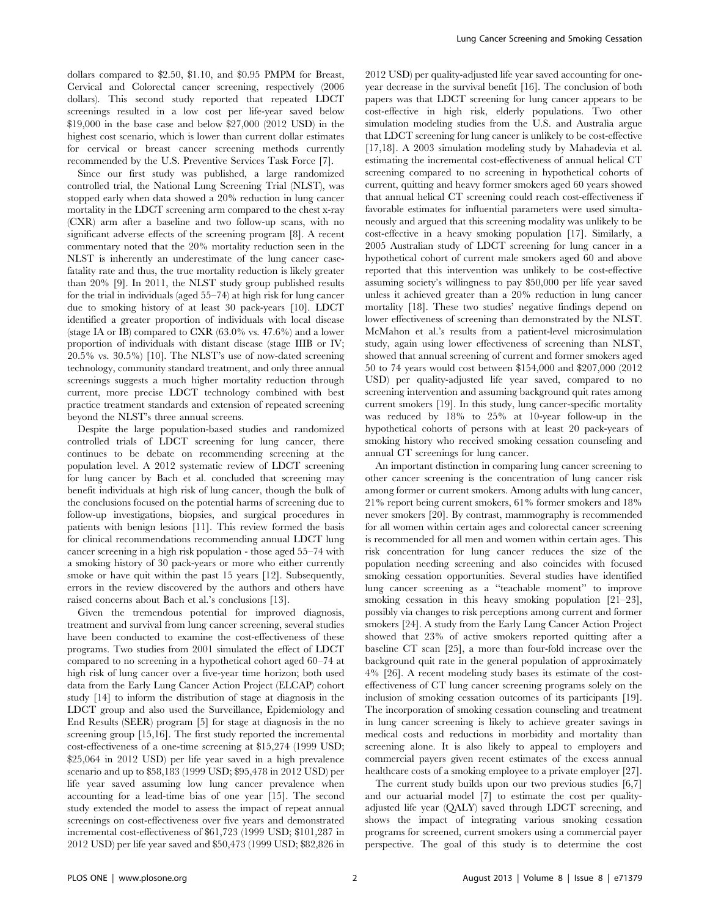dollars compared to \$2.50, \$1.10, and \$0.95 PMPM for Breast, Cervical and Colorectal cancer screening, respectively (2006 dollars). This second study reported that repeated LDCT screenings resulted in a low cost per life-year saved below \$19,000 in the base case and below \$27,000 (2012 USD) in the highest cost scenario, which is lower than current dollar estimates for cervical or breast cancer screening methods currently recommended by the U.S. Preventive Services Task Force [7].

Since our first study was published, a large randomized controlled trial, the National Lung Screening Trial (NLST), was stopped early when data showed a 20% reduction in lung cancer mortality in the LDCT screening arm compared to the chest x-ray (CXR) arm after a baseline and two follow-up scans, with no significant adverse effects of the screening program [8]. A recent commentary noted that the 20% mortality reduction seen in the NLST is inherently an underestimate of the lung cancer casefatality rate and thus, the true mortality reduction is likely greater than 20% [9]. In 2011, the NLST study group published results for the trial in individuals (aged 55–74) at high risk for lung cancer due to smoking history of at least 30 pack-years [10]. LDCT identified a greater proportion of individuals with local disease (stage IA or IB) compared to CXR (63.0% vs. 47.6%) and a lower proportion of individuals with distant disease (stage IIIB or IV; 20.5% vs. 30.5%) [10]. The NLST's use of now-dated screening technology, community standard treatment, and only three annual screenings suggests a much higher mortality reduction through current, more precise LDCT technology combined with best practice treatment standards and extension of repeated screening beyond the NLST's three annual screens.

Despite the large population-based studies and randomized controlled trials of LDCT screening for lung cancer, there continues to be debate on recommending screening at the population level. A 2012 systematic review of LDCT screening for lung cancer by Bach et al. concluded that screening may benefit individuals at high risk of lung cancer, though the bulk of the conclusions focused on the potential harms of screening due to follow-up investigations, biopsies, and surgical procedures in patients with benign lesions [11]. This review formed the basis for clinical recommendations recommending annual LDCT lung cancer screening in a high risk population - those aged 55–74 with a smoking history of 30 pack-years or more who either currently smoke or have quit within the past 15 years [12]. Subsequently, errors in the review discovered by the authors and others have raised concerns about Bach et al.'s conclusions [13].

Given the tremendous potential for improved diagnosis, treatment and survival from lung cancer screening, several studies have been conducted to examine the cost-effectiveness of these programs. Two studies from 2001 simulated the effect of LDCT compared to no screening in a hypothetical cohort aged 60–74 at high risk of lung cancer over a five-year time horizon; both used data from the Early Lung Cancer Action Project (ELCAP) cohort study [14] to inform the distribution of stage at diagnosis in the LDCT group and also used the Surveillance, Epidemiology and End Results (SEER) program [5] for stage at diagnosis in the no screening group [15,16]. The first study reported the incremental cost-effectiveness of a one-time screening at \$15,274 (1999 USD; \$25,064 in 2012 USD) per life year saved in a high prevalence scenario and up to \$58,183 (1999 USD; \$95,478 in 2012 USD) per life year saved assuming low lung cancer prevalence when accounting for a lead-time bias of one year [15]. The second study extended the model to assess the impact of repeat annual screenings on cost-effectiveness over five years and demonstrated incremental cost-effectiveness of \$61,723 (1999 USD; \$101,287 in 2012 USD) per life year saved and \$50,473 (1999 USD; \$82,826 in 2012 USD) per quality-adjusted life year saved accounting for oneyear decrease in the survival benefit [16]. The conclusion of both papers was that LDCT screening for lung cancer appears to be cost-effective in high risk, elderly populations. Two other simulation modeling studies from the U.S. and Australia argue that LDCT screening for lung cancer is unlikely to be cost-effective [17,18]. A 2003 simulation modeling study by Mahadevia et al. estimating the incremental cost-effectiveness of annual helical CT screening compared to no screening in hypothetical cohorts of current, quitting and heavy former smokers aged 60 years showed that annual helical CT screening could reach cost-effectiveness if favorable estimates for influential parameters were used simultaneously and argued that this screening modality was unlikely to be cost-effective in a heavy smoking population [17]. Similarly, a 2005 Australian study of LDCT screening for lung cancer in a hypothetical cohort of current male smokers aged 60 and above reported that this intervention was unlikely to be cost-effective assuming society's willingness to pay \$50,000 per life year saved unless it achieved greater than a 20% reduction in lung cancer mortality [18]. These two studies' negative findings depend on lower effectiveness of screening than demonstrated by the NLST. McMahon et al.'s results from a patient-level microsimulation study, again using lower effectiveness of screening than NLST, showed that annual screening of current and former smokers aged 50 to 74 years would cost between \$154,000 and \$207,000 (2012 USD) per quality-adjusted life year saved, compared to no screening intervention and assuming background quit rates among current smokers [19]. In this study, lung cancer-specific mortality was reduced by 18% to 25% at 10-year follow-up in the hypothetical cohorts of persons with at least 20 pack-years of smoking history who received smoking cessation counseling and annual CT screenings for lung cancer.

An important distinction in comparing lung cancer screening to other cancer screening is the concentration of lung cancer risk among former or current smokers. Among adults with lung cancer, 21% report being current smokers, 61% former smokers and 18% never smokers [20]. By contrast, mammography is recommended for all women within certain ages and colorectal cancer screening is recommended for all men and women within certain ages. This risk concentration for lung cancer reduces the size of the population needing screening and also coincides with focused smoking cessation opportunities. Several studies have identified lung cancer screening as a ''teachable moment'' to improve smoking cessation in this heavy smoking population  $[21-23]$ , possibly via changes to risk perceptions among current and former smokers [24]. A study from the Early Lung Cancer Action Project showed that 23% of active smokers reported quitting after a baseline CT scan [25], a more than four-fold increase over the background quit rate in the general population of approximately 4% [26]. A recent modeling study bases its estimate of the costeffectiveness of CT lung cancer screening programs solely on the inclusion of smoking cessation outcomes of its participants [19]. The incorporation of smoking cessation counseling and treatment in lung cancer screening is likely to achieve greater savings in medical costs and reductions in morbidity and mortality than screening alone. It is also likely to appeal to employers and commercial payers given recent estimates of the excess annual healthcare costs of a smoking employee to a private employer [27].

The current study builds upon our two previous studies [6,7] and our actuarial model [7] to estimate the cost per qualityadjusted life year (QALY) saved through LDCT screening, and shows the impact of integrating various smoking cessation programs for screened, current smokers using a commercial payer perspective. The goal of this study is to determine the cost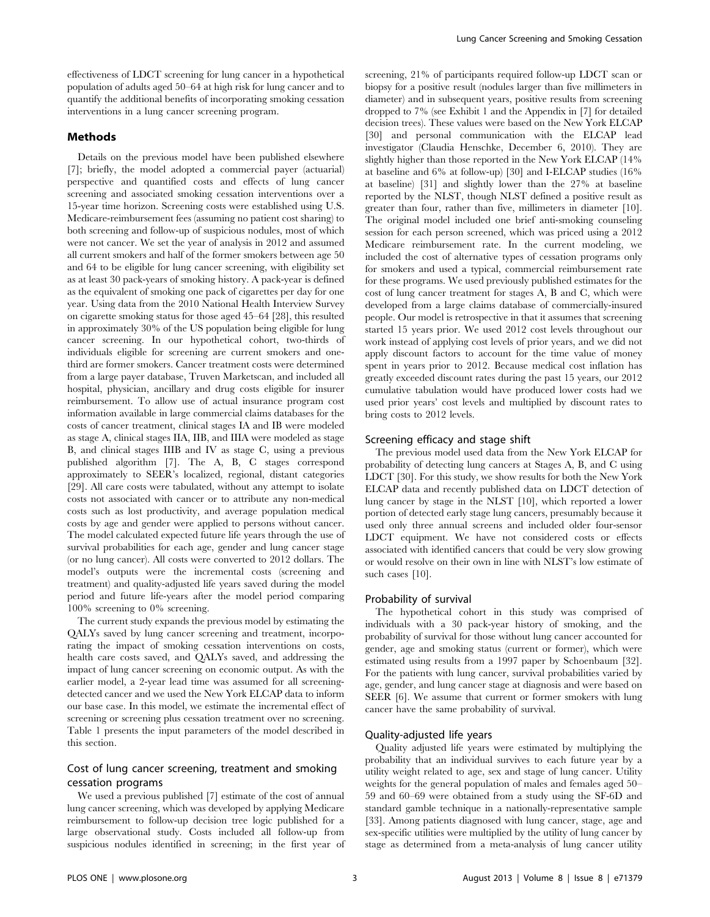effectiveness of LDCT screening for lung cancer in a hypothetical population of adults aged 50–64 at high risk for lung cancer and to quantify the additional benefits of incorporating smoking cessation interventions in a lung cancer screening program.

## Methods

Details on the previous model have been published elsewhere [7]; briefly, the model adopted a commercial payer (actuarial) perspective and quantified costs and effects of lung cancer screening and associated smoking cessation interventions over a 15-year time horizon. Screening costs were established using U.S. Medicare-reimbursement fees (assuming no patient cost sharing) to both screening and follow-up of suspicious nodules, most of which were not cancer. We set the year of analysis in 2012 and assumed all current smokers and half of the former smokers between age 50 and 64 to be eligible for lung cancer screening, with eligibility set as at least 30 pack-years of smoking history. A pack-year is defined as the equivalent of smoking one pack of cigarettes per day for one year. Using data from the 2010 National Health Interview Survey on cigarette smoking status for those aged 45–64 [28], this resulted in approximately 30% of the US population being eligible for lung cancer screening. In our hypothetical cohort, two-thirds of individuals eligible for screening are current smokers and onethird are former smokers. Cancer treatment costs were determined from a large payer database, Truven Marketscan, and included all hospital, physician, ancillary and drug costs eligible for insurer reimbursement. To allow use of actual insurance program cost information available in large commercial claims databases for the costs of cancer treatment, clinical stages IA and IB were modeled as stage A, clinical stages IIA, IIB, and IIIA were modeled as stage B, and clinical stages IIIB and IV as stage C, using a previous published algorithm [7]. The A, B, C stages correspond approximately to SEER's localized, regional, distant categories [29]. All care costs were tabulated, without any attempt to isolate costs not associated with cancer or to attribute any non-medical costs such as lost productivity, and average population medical costs by age and gender were applied to persons without cancer. The model calculated expected future life years through the use of survival probabilities for each age, gender and lung cancer stage (or no lung cancer). All costs were converted to 2012 dollars. The model's outputs were the incremental costs (screening and treatment) and quality-adjusted life years saved during the model period and future life-years after the model period comparing 100% screening to 0% screening.

The current study expands the previous model by estimating the QALYs saved by lung cancer screening and treatment, incorporating the impact of smoking cessation interventions on costs, health care costs saved, and QALYs saved, and addressing the impact of lung cancer screening on economic output. As with the earlier model, a 2-year lead time was assumed for all screeningdetected cancer and we used the New York ELCAP data to inform our base case. In this model, we estimate the incremental effect of screening or screening plus cessation treatment over no screening. Table 1 presents the input parameters of the model described in this section.

# Cost of lung cancer screening, treatment and smoking cessation programs

We used a previous published [7] estimate of the cost of annual lung cancer screening, which was developed by applying Medicare reimbursement to follow-up decision tree logic published for a large observational study. Costs included all follow-up from suspicious nodules identified in screening; in the first year of screening, 21% of participants required follow-up LDCT scan or biopsy for a positive result (nodules larger than five millimeters in diameter) and in subsequent years, positive results from screening dropped to 7% (see Exhibit 1 and the Appendix in [7] for detailed decision trees). These values were based on the New York ELCAP [30] and personal communication with the ELCAP lead investigator (Claudia Henschke, December 6, 2010). They are slightly higher than those reported in the New York ELCAP (14% at baseline and 6% at follow-up) [30] and I-ELCAP studies (16% at baseline) [31] and slightly lower than the 27% at baseline reported by the NLST, though NLST defined a positive result as greater than four, rather than five, millimeters in diameter [10]. The original model included one brief anti-smoking counseling session for each person screened, which was priced using a 2012 Medicare reimbursement rate. In the current modeling, we included the cost of alternative types of cessation programs only for smokers and used a typical, commercial reimbursement rate for these programs. We used previously published estimates for the cost of lung cancer treatment for stages A, B and C, which were developed from a large claims database of commercially-insured people. Our model is retrospective in that it assumes that screening started 15 years prior. We used 2012 cost levels throughout our work instead of applying cost levels of prior years, and we did not apply discount factors to account for the time value of money spent in years prior to 2012. Because medical cost inflation has greatly exceeded discount rates during the past 15 years, our 2012 cumulative tabulation would have produced lower costs had we used prior years' cost levels and multiplied by discount rates to bring costs to 2012 levels.

#### Screening efficacy and stage shift

The previous model used data from the New York ELCAP for probability of detecting lung cancers at Stages A, B, and C using LDCT [30]. For this study, we show results for both the New York ELCAP data and recently published data on LDCT detection of lung cancer by stage in the NLST [10], which reported a lower portion of detected early stage lung cancers, presumably because it used only three annual screens and included older four-sensor LDCT equipment. We have not considered costs or effects associated with identified cancers that could be very slow growing or would resolve on their own in line with NLST's low estimate of such cases [10].

#### Probability of survival

The hypothetical cohort in this study was comprised of individuals with a 30 pack-year history of smoking, and the probability of survival for those without lung cancer accounted for gender, age and smoking status (current or former), which were estimated using results from a 1997 paper by Schoenbaum [32]. For the patients with lung cancer, survival probabilities varied by age, gender, and lung cancer stage at diagnosis and were based on SEER [6]. We assume that current or former smokers with lung cancer have the same probability of survival.

#### Quality-adjusted life years

Quality adjusted life years were estimated by multiplying the probability that an individual survives to each future year by a utility weight related to age, sex and stage of lung cancer. Utility weights for the general population of males and females aged 50– 59 and 60–69 were obtained from a study using the SF-6D and standard gamble technique in a nationally-representative sample [33]. Among patients diagnosed with lung cancer, stage, age and sex-specific utilities were multiplied by the utility of lung cancer by stage as determined from a meta-analysis of lung cancer utility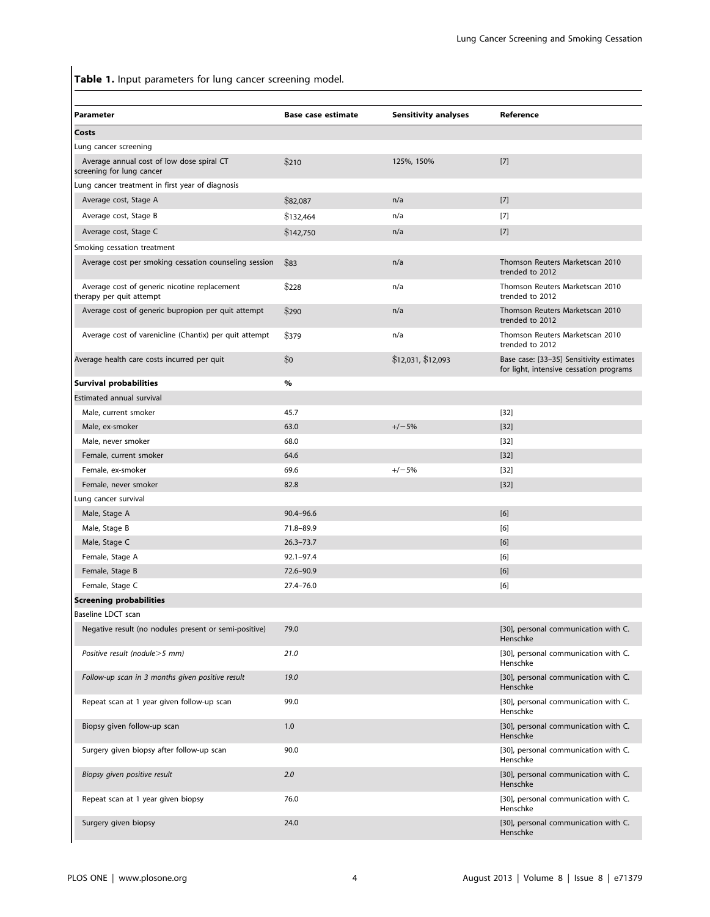Table 1. Input parameters for lung cancer screening model.

| Parameter                                                                | <b>Base case estimate</b> | <b>Sensitivity analyses</b> | Reference                                                                           |
|--------------------------------------------------------------------------|---------------------------|-----------------------------|-------------------------------------------------------------------------------------|
| Costs                                                                    |                           |                             |                                                                                     |
| Lung cancer screening                                                    |                           |                             |                                                                                     |
| Average annual cost of low dose spiral CT<br>screening for lung cancer   | \$210                     | 125%, 150%                  | $[7]$                                                                               |
| Lung cancer treatment in first year of diagnosis                         |                           |                             |                                                                                     |
| Average cost, Stage A                                                    | \$82,087                  | n/a                         | $[7]$                                                                               |
| Average cost, Stage B                                                    | \$132,464                 | n/a                         | $[7]$                                                                               |
| Average cost, Stage C                                                    | \$142,750                 | n/a                         | $[7]$                                                                               |
| Smoking cessation treatment                                              |                           |                             |                                                                                     |
| Average cost per smoking cessation counseling session                    | \$83                      | n/a                         | Thomson Reuters Marketscan 2010<br>trended to 2012                                  |
| Average cost of generic nicotine replacement<br>therapy per quit attempt | \$228                     | n/a                         | Thomson Reuters Marketscan 2010<br>trended to 2012                                  |
| Average cost of generic bupropion per quit attempt                       | \$290                     | n/a                         | Thomson Reuters Marketscan 2010<br>trended to 2012                                  |
| Average cost of varenicline (Chantix) per quit attempt                   | \$379                     | n/a                         | Thomson Reuters Marketscan 2010<br>trended to 2012                                  |
| Average health care costs incurred per quit                              | \$0                       | \$12,031, \$12,093          | Base case: [33-35] Sensitivity estimates<br>for light, intensive cessation programs |
| <b>Survival probabilities</b>                                            | %                         |                             |                                                                                     |
| Estimated annual survival                                                |                           |                             |                                                                                     |
| Male, current smoker                                                     | 45.7                      |                             | $[32]$                                                                              |
| Male, ex-smoker                                                          | 63.0                      | $+/-5%$                     | $[32]$                                                                              |
| Male, never smoker                                                       | 68.0                      |                             | $[32]$                                                                              |
| Female, current smoker                                                   | 64.6                      |                             | $[32]$                                                                              |
| Female, ex-smoker                                                        | 69.6                      | $+/-5%$                     | $[32]$                                                                              |
| Female, never smoker                                                     | 82.8                      |                             | $[32]$                                                                              |
| Lung cancer survival                                                     |                           |                             |                                                                                     |
| Male, Stage A                                                            | 90.4-96.6                 |                             | [6]                                                                                 |
| Male, Stage B                                                            | 71.8-89.9                 |                             | [6]                                                                                 |
| Male, Stage C                                                            | $26.3 - 73.7$             |                             | [6]                                                                                 |
| Female, Stage A                                                          | $92.1 - 97.4$             |                             | [6]                                                                                 |
| Female, Stage B                                                          | 72.6-90.9                 |                             | [6]                                                                                 |
| Female, Stage C                                                          | $27.4 - 76.0$             |                             | [6]                                                                                 |
| <b>Screening probabilities</b>                                           |                           |                             |                                                                                     |
| Baseline LDCT scan                                                       |                           |                             |                                                                                     |
| Negative result (no nodules present or semi-positive)                    | 79.0                      |                             | [30], personal communication with C.<br>Henschke                                    |
| Positive result (nodule>5 mm)                                            | 21.0                      |                             | [30], personal communication with C.<br>Henschke                                    |
| Follow-up scan in 3 months given positive result                         | 19.0                      |                             | [30], personal communication with C.<br>Henschke                                    |
| Repeat scan at 1 year given follow-up scan                               | 99.0                      |                             | [30], personal communication with C.<br>Henschke                                    |
| Biopsy given follow-up scan                                              | 1.0                       |                             | [30], personal communication with C.<br>Henschke                                    |
| Surgery given biopsy after follow-up scan                                | 90.0                      |                             | [30], personal communication with C.<br>Henschke                                    |
| Biopsy given positive result                                             | 2.0                       |                             | [30], personal communication with C.<br>Henschke                                    |
| Repeat scan at 1 year given biopsy                                       | 76.0                      |                             | [30], personal communication with C.<br>Henschke                                    |
| Surgery given biopsy                                                     | 24.0                      |                             | [30], personal communication with C.<br>Henschke                                    |
|                                                                          |                           |                             |                                                                                     |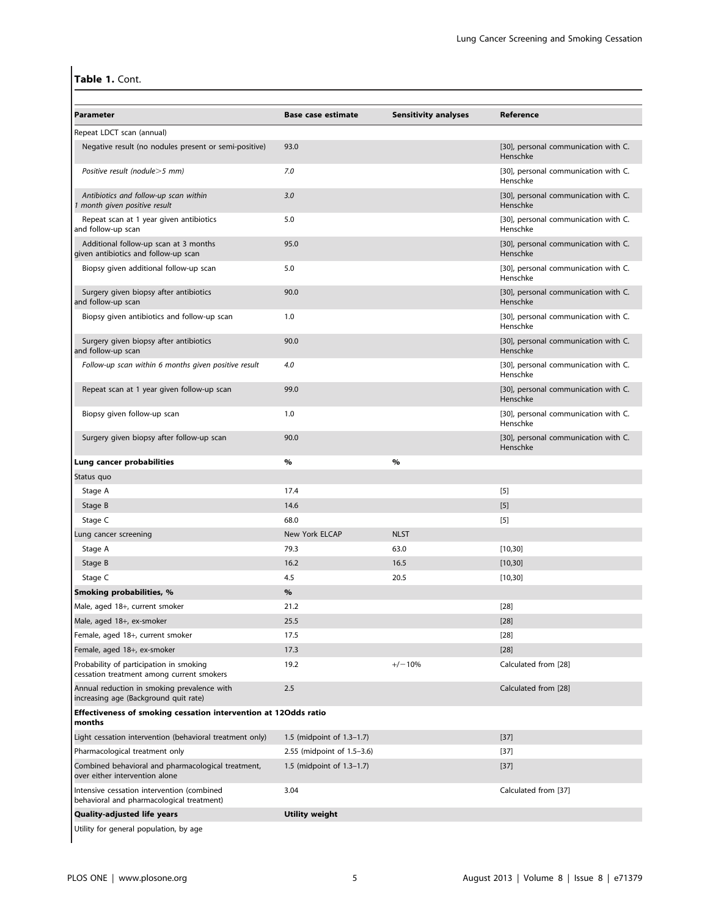# Table 1. Cont.

| <b>Parameter</b>                                                                        | <b>Base case estimate</b>  | <b>Sensitivity analyses</b> | Reference                                        |
|-----------------------------------------------------------------------------------------|----------------------------|-----------------------------|--------------------------------------------------|
|                                                                                         |                            |                             |                                                  |
| Repeat LDCT scan (annual)                                                               |                            |                             |                                                  |
| Negative result (no nodules present or semi-positive)                                   | 93.0                       |                             | [30], personal communication with C.<br>Henschke |
| Positive result (nodule>5 mm)                                                           | 7.0                        |                             | [30], personal communication with C.<br>Henschke |
| Antibiotics and follow-up scan within<br>1 month given positive result                  | 3.0                        |                             | [30], personal communication with C.<br>Henschke |
| Repeat scan at 1 year given antibiotics<br>and follow-up scan                           | 5.0                        |                             | [30], personal communication with C.<br>Henschke |
| Additional follow-up scan at 3 months<br>given antibiotics and follow-up scan           | 95.0                       |                             | [30], personal communication with C.<br>Henschke |
| Biopsy given additional follow-up scan                                                  | 5.0                        |                             | [30], personal communication with C.<br>Henschke |
| Surgery given biopsy after antibiotics<br>and follow-up scan                            | 90.0                       |                             | [30], personal communication with C.<br>Henschke |
| Biopsy given antibiotics and follow-up scan                                             | 1.0                        |                             | [30], personal communication with C.<br>Henschke |
| Surgery given biopsy after antibiotics<br>and follow-up scan                            | 90.0                       |                             | [30], personal communication with C.<br>Henschke |
| Follow-up scan within 6 months given positive result                                    | 4.0                        |                             | [30], personal communication with C.<br>Henschke |
| Repeat scan at 1 year given follow-up scan                                              | 99.0                       |                             | [30], personal communication with C.<br>Henschke |
| Biopsy given follow-up scan                                                             | 1.0                        |                             | [30], personal communication with C.<br>Henschke |
| Surgery given biopsy after follow-up scan                                               | 90.0                       |                             | [30], personal communication with C.<br>Henschke |
| Lung cancer probabilities                                                               | $\%$                       | %                           |                                                  |
| Status quo                                                                              |                            |                             |                                                  |
| Stage A                                                                                 | 17.4                       |                             | $[5]$                                            |
| Stage B                                                                                 | 14.6                       |                             | $[5]$                                            |
| Stage C                                                                                 | 68.0                       |                             | $[5]$                                            |
| Lung cancer screening                                                                   | New York ELCAP             | <b>NLST</b>                 |                                                  |
| Stage A                                                                                 | 79.3                       | 63.0                        | [10, 30]                                         |
| Stage B                                                                                 | 16.2                       | 16.5                        | [10, 30]                                         |
| Stage C                                                                                 | 4.5                        | 20.5                        | [10, 30]                                         |
| Smoking probabilities, %                                                                | $\%$                       |                             |                                                  |
| Male, aged 18+, current smoker                                                          | 21.2                       |                             | $[28]$                                           |
| Male, aged 18+, ex-smoker                                                               | 25.5                       |                             | $[28]$                                           |
| Female, aged 18+, current smoker                                                        | 17.5                       |                             | $[28]$                                           |
| Female, aged 18+, ex-smoker                                                             | 17.3                       |                             | $[28]$                                           |
| Probability of participation in smoking<br>cessation treatment among current smokers    | 19.2                       | $+/-10%$                    | Calculated from [28]                             |
| Annual reduction in smoking prevalence with<br>increasing age (Background quit rate)    | 2.5                        |                             | Calculated from [28]                             |
| Effectiveness of smoking cessation intervention at 12Odds ratio<br>months               |                            |                             |                                                  |
| Light cessation intervention (behavioral treatment only)                                | 1.5 (midpoint of 1.3-1.7)  |                             | $[37]$                                           |
| Pharmacological treatment only                                                          | 2.55 (midpoint of 1.5-3.6) |                             | $[37]$                                           |
| Combined behavioral and pharmacological treatment,<br>over either intervention alone    | 1.5 (midpoint of 1.3-1.7)  |                             | $[37]$                                           |
| Intensive cessation intervention (combined<br>behavioral and pharmacological treatment) | 3.04                       |                             | Calculated from [37]                             |
| Quality-adjusted life years                                                             | <b>Utility weight</b>      |                             |                                                  |

Utility for general population, by age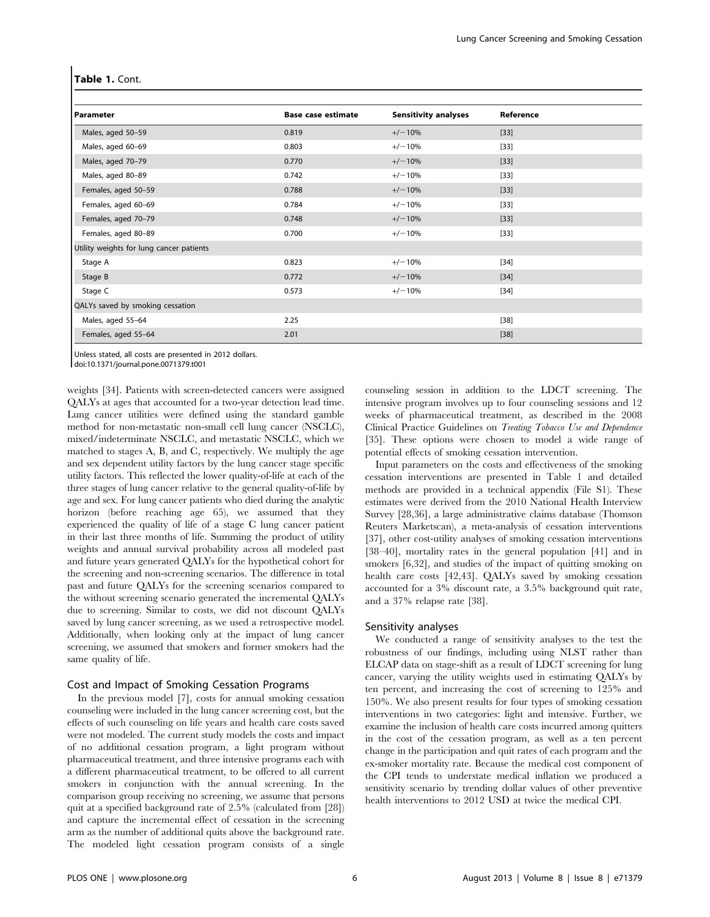| Table 1. Cont. |  |
|----------------|--|
|----------------|--|

| Parameter                                | <b>Base case estimate</b> | <b>Sensitivity analyses</b> | Reference |  |
|------------------------------------------|---------------------------|-----------------------------|-----------|--|
| Males, aged 50-59                        | 0.819                     | $+/-10%$                    | $[33]$    |  |
| Males, aged 60-69                        | 0.803                     | $+/-10%$                    | $[33]$    |  |
| Males, aged 70-79                        | 0.770                     | $+/-10%$                    | $[33]$    |  |
| Males, aged 80-89                        | 0.742                     | $+/-10%$                    | $[33]$    |  |
| Females, aged 50-59                      | 0.788                     | $+/-10%$                    | $[33]$    |  |
| Females, aged 60-69                      | 0.784                     | $+/-10%$                    | $[33]$    |  |
| Females, aged 70-79                      | 0.748                     | $+/-10%$                    | $[33]$    |  |
| Females, aged 80-89                      | 0.700                     | $+/-10%$                    | $[33]$    |  |
| Utility weights for lung cancer patients |                           |                             |           |  |
| Stage A                                  | 0.823                     | $+/-10%$                    | $[34]$    |  |
| Stage B                                  | 0.772                     | $+/-10%$                    | $[34]$    |  |
| Stage C                                  | 0.573                     | $+/-10%$                    | $[34]$    |  |
| QALYs saved by smoking cessation         |                           |                             |           |  |
| Males, aged 55-64                        | 2.25                      |                             | $[38]$    |  |
| Females, aged 55-64                      | 2.01                      |                             | $[38]$    |  |

Unless stated, all costs are presented in 2012 dollars.

doi:10.1371/journal.pone.0071379.t001

weights [34]. Patients with screen-detected cancers were assigned QALYs at ages that accounted for a two-year detection lead time. Lung cancer utilities were defined using the standard gamble method for non-metastatic non-small cell lung cancer (NSCLC), mixed/indeterminate NSCLC, and metastatic NSCLC, which we matched to stages A, B, and C, respectively. We multiply the age and sex dependent utility factors by the lung cancer stage specific utility factors. This reflected the lower quality-of-life at each of the three stages of lung cancer relative to the general quality-of-life by age and sex. For lung cancer patients who died during the analytic horizon (before reaching age 65), we assumed that they experienced the quality of life of a stage C lung cancer patient in their last three months of life. Summing the product of utility weights and annual survival probability across all modeled past and future years generated QALYs for the hypothetical cohort for the screening and non-screening scenarios. The difference in total past and future QALYs for the screening scenarios compared to the without screening scenario generated the incremental QALYs due to screening. Similar to costs, we did not discount QALYs saved by lung cancer screening, as we used a retrospective model. Additionally, when looking only at the impact of lung cancer screening, we assumed that smokers and former smokers had the same quality of life.

## Cost and Impact of Smoking Cessation Programs

In the previous model [7], costs for annual smoking cessation counseling were included in the lung cancer screening cost, but the effects of such counseling on life years and health care costs saved were not modeled. The current study models the costs and impact of no additional cessation program, a light program without pharmaceutical treatment, and three intensive programs each with a different pharmaceutical treatment, to be offered to all current smokers in conjunction with the annual screening. In the comparison group receiving no screening, we assume that persons quit at a specified background rate of 2.5% (calculated from [28]) and capture the incremental effect of cessation in the screening arm as the number of additional quits above the background rate. The modeled light cessation program consists of a single

counseling session in addition to the LDCT screening. The intensive program involves up to four counseling sessions and 12 weeks of pharmaceutical treatment, as described in the 2008 Clinical Practice Guidelines on Treating Tobacco Use and Dependence [35]. These options were chosen to model a wide range of potential effects of smoking cessation intervention.

Input parameters on the costs and effectiveness of the smoking cessation interventions are presented in Table 1 and detailed methods are provided in a technical appendix (File S1). These estimates were derived from the 2010 National Health Interview Survey [28,36], a large administrative claims database (Thomson Reuters Marketscan), a meta-analysis of cessation interventions [37], other cost-utility analyses of smoking cessation interventions [38–40], mortality rates in the general population [41] and in smokers [6,32], and studies of the impact of quitting smoking on health care costs [42,43]. QALYs saved by smoking cessation accounted for a 3% discount rate, a 3.5% background quit rate, and a 37% relapse rate [38].

### Sensitivity analyses

We conducted a range of sensitivity analyses to the test the robustness of our findings, including using NLST rather than ELCAP data on stage-shift as a result of LDCT screening for lung cancer, varying the utility weights used in estimating QALYs by ten percent, and increasing the cost of screening to 125% and 150%. We also present results for four types of smoking cessation interventions in two categories: light and intensive. Further, we examine the inclusion of health care costs incurred among quitters in the cost of the cessation program, as well as a ten percent change in the participation and quit rates of each program and the ex-smoker mortality rate. Because the medical cost component of the CPI tends to understate medical inflation we produced a sensitivity scenario by trending dollar values of other preventive health interventions to 2012 USD at twice the medical CPI.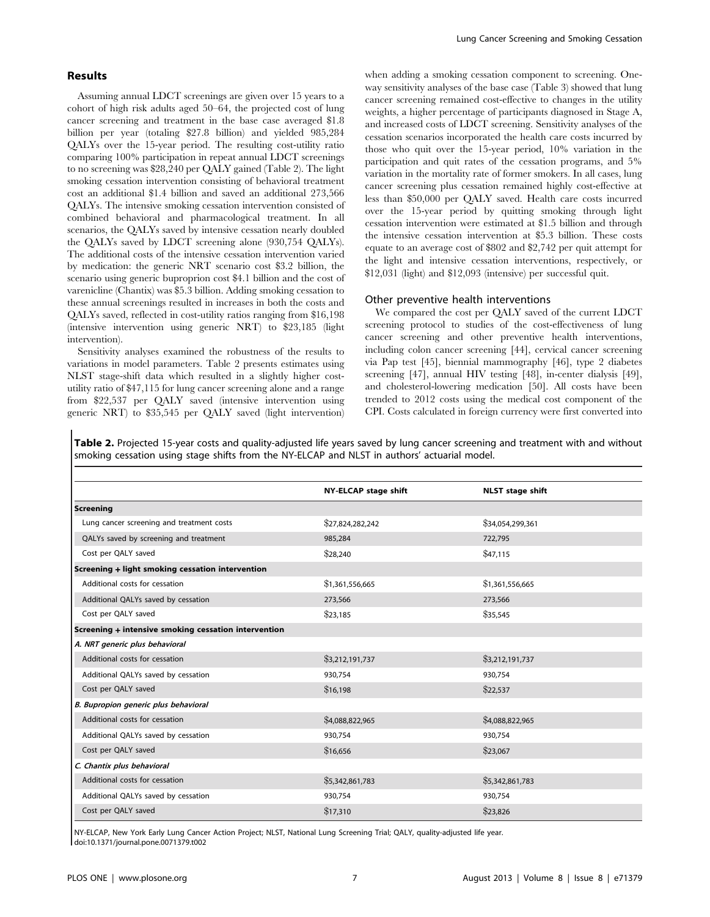## Results

Assuming annual LDCT screenings are given over 15 years to a cohort of high risk adults aged 50–64, the projected cost of lung cancer screening and treatment in the base case averaged \$1.8 billion per year (totaling \$27.8 billion) and yielded 985,284 QALYs over the 15-year period. The resulting cost-utility ratio comparing 100% participation in repeat annual LDCT screenings to no screening was \$28,240 per QALY gained (Table 2). The light smoking cessation intervention consisting of behavioral treatment cost an additional \$1.4 billion and saved an additional 273,566 QALYs. The intensive smoking cessation intervention consisted of combined behavioral and pharmacological treatment. In all scenarios, the QALYs saved by intensive cessation nearly doubled the QALYs saved by LDCT screening alone (930,754 QALYs). The additional costs of the intensive cessation intervention varied by medication: the generic NRT scenario cost \$3.2 billion, the scenario using generic buproprion cost \$4.1 billion and the cost of varenicline (Chantix) was \$5.3 billion. Adding smoking cessation to these annual screenings resulted in increases in both the costs and QALYs saved, reflected in cost-utility ratios ranging from \$16,198 (intensive intervention using generic NRT) to \$23,185 (light intervention).

Sensitivity analyses examined the robustness of the results to variations in model parameters. Table 2 presents estimates using NLST stage-shift data which resulted in a slightly higher costutility ratio of \$47,115 for lung cancer screening alone and a range from \$22,537 per QALY saved (intensive intervention using generic NRT) to \$35,545 per QALY saved (light intervention)

when adding a smoking cessation component to screening. Oneway sensitivity analyses of the base case (Table 3) showed that lung cancer screening remained cost-effective to changes in the utility weights, a higher percentage of participants diagnosed in Stage A, and increased costs of LDCT screening. Sensitivity analyses of the cessation scenarios incorporated the health care costs incurred by those who quit over the 15-year period, 10% variation in the participation and quit rates of the cessation programs, and 5% variation in the mortality rate of former smokers. In all cases, lung cancer screening plus cessation remained highly cost-effective at less than \$50,000 per QALY saved. Health care costs incurred over the 15-year period by quitting smoking through light cessation intervention were estimated at \$1.5 billion and through the intensive cessation intervention at \$5.3 billion. These costs equate to an average cost of \$802 and \$2,742 per quit attempt for the light and intensive cessation interventions, respectively, or \$12,031 (light) and \$12,093 (intensive) per successful quit.

#### Other preventive health interventions

We compared the cost per QALY saved of the current LDCT screening protocol to studies of the cost-effectiveness of lung cancer screening and other preventive health interventions, including colon cancer screening [44], cervical cancer screening via Pap test [45], biennial mammography [46], type 2 diabetes screening [47], annual HIV testing [48], in-center dialysis [49], and cholesterol-lowering medication [50]. All costs have been trended to 2012 costs using the medical cost component of the CPI. Costs calculated in foreign currency were first converted into

Table 2. Projected 15-year costs and quality-adjusted life years saved by lung cancer screening and treatment with and without smoking cessation using stage shifts from the NY-ELCAP and NLST in authors' actuarial model.

|                                                      | <b>NY-ELCAP stage shift</b> | <b>NLST</b> stage shift |  |
|------------------------------------------------------|-----------------------------|-------------------------|--|
| <b>Screening</b>                                     |                             |                         |  |
| Lung cancer screening and treatment costs            | \$27,824,282,242            | \$34,054,299,361        |  |
| QALYs saved by screening and treatment               | 985,284                     | 722,795                 |  |
| Cost per QALY saved                                  | \$28,240                    | \$47,115                |  |
| Screening + light smoking cessation intervention     |                             |                         |  |
| Additional costs for cessation                       | \$1,361,556,665             | \$1,361,556,665         |  |
| Additional QALYs saved by cessation                  | 273,566                     | 273,566                 |  |
| Cost per QALY saved                                  | \$23,185                    | \$35,545                |  |
| Screening + intensive smoking cessation intervention |                             |                         |  |
| A. NRT generic plus behavioral                       |                             |                         |  |
| Additional costs for cessation                       | \$3,212,191,737             | \$3,212,191,737         |  |
| Additional QALYs saved by cessation                  | 930,754                     | 930,754                 |  |
| Cost per QALY saved                                  | \$16,198                    | \$22,537                |  |
| B. Bupropion generic plus behavioral                 |                             |                         |  |
| Additional costs for cessation                       | \$4,088,822,965             | \$4,088,822,965         |  |
| Additional QALYs saved by cessation                  | 930,754                     | 930,754                 |  |
| Cost per QALY saved                                  | \$16,656                    | \$23,067                |  |
| C. Chantix plus behavioral                           |                             |                         |  |
| Additional costs for cessation                       | \$5,342,861,783             | \$5,342,861,783         |  |
| Additional QALYs saved by cessation                  | 930,754                     | 930,754                 |  |
| Cost per QALY saved                                  | \$17,310                    | \$23,826                |  |

NY-ELCAP, New York Early Lung Cancer Action Project; NLST, National Lung Screening Trial; QALY, quality-adjusted life year. doi:10.1371/journal.pone.0071379.t002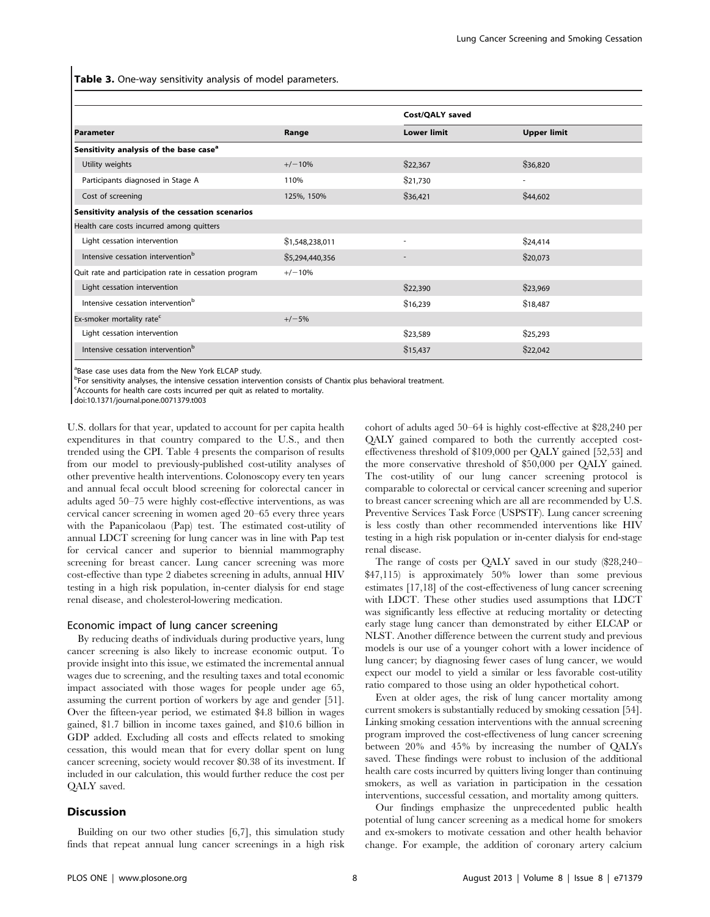Table 3. One-way sensitivity analysis of model parameters.

|                                                       | Range           | Cost/OALY saved    |                    |  |
|-------------------------------------------------------|-----------------|--------------------|--------------------|--|
| <b>Parameter</b>                                      |                 | <b>Lower limit</b> | <b>Upper limit</b> |  |
| Sensitivity analysis of the base case <sup>a</sup>    |                 |                    |                    |  |
| Utility weights                                       | $+/-10%$        | \$22,367           | \$36,820           |  |
| Participants diagnosed in Stage A                     | 110%            | \$21,730           | ٠                  |  |
| Cost of screening                                     | 125%, 150%      | \$36,421           | \$44,602           |  |
| Sensitivity analysis of the cessation scenarios       |                 |                    |                    |  |
| Health care costs incurred among quitters             |                 |                    |                    |  |
| Light cessation intervention                          | \$1,548,238,011 | ÷                  | \$24,414           |  |
| Intensive cessation intervention <sup>b</sup>         | \$5,294,440,356 |                    | \$20,073           |  |
| Quit rate and participation rate in cessation program | $+/-10%$        |                    |                    |  |
| Light cessation intervention                          |                 | \$22,390           | \$23,969           |  |
| Intensive cessation intervention <sup>b</sup>         |                 | \$16,239           | \$18,487           |  |
| Ex-smoker mortality rate <sup>c</sup>                 | $+/-5%$         |                    |                    |  |
| Light cessation intervention                          |                 | \$23,589           | \$25,293           |  |
| Intensive cessation intervention <sup>b</sup>         |                 | \$15,437           | \$22,042           |  |

<sup>a</sup>Base case uses data from the New York ELCAP study.

<sup>b</sup>For sensitivity analyses, the intensive cessation intervention consists of Chantix plus behavioral treatment.

<sup>c</sup>Accounts for health care costs incurred per quit as related to mortality.

doi:10.1371/journal.pone.0071379.t003

U.S. dollars for that year, updated to account for per capita health expenditures in that country compared to the U.S., and then trended using the CPI. Table 4 presents the comparison of results from our model to previously-published cost-utility analyses of other preventive health interventions. Colonoscopy every ten years and annual fecal occult blood screening for colorectal cancer in adults aged 50–75 were highly cost-effective interventions, as was cervical cancer screening in women aged 20–65 every three years with the Papanicolaou (Pap) test. The estimated cost-utility of annual LDCT screening for lung cancer was in line with Pap test for cervical cancer and superior to biennial mammography screening for breast cancer. Lung cancer screening was more cost-effective than type 2 diabetes screening in adults, annual HIV testing in a high risk population, in-center dialysis for end stage renal disease, and cholesterol-lowering medication.

#### Economic impact of lung cancer screening

By reducing deaths of individuals during productive years, lung cancer screening is also likely to increase economic output. To provide insight into this issue, we estimated the incremental annual wages due to screening, and the resulting taxes and total economic impact associated with those wages for people under age 65, assuming the current portion of workers by age and gender [51]. Over the fifteen-year period, we estimated \$4.8 billion in wages gained, \$1.7 billion in income taxes gained, and \$10.6 billion in GDP added. Excluding all costs and effects related to smoking cessation, this would mean that for every dollar spent on lung cancer screening, society would recover \$0.38 of its investment. If included in our calculation, this would further reduce the cost per QALY saved.

#### **Discussion**

Building on our two other studies [6,7], this simulation study finds that repeat annual lung cancer screenings in a high risk cohort of adults aged 50–64 is highly cost-effective at \$28,240 per QALY gained compared to both the currently accepted costeffectiveness threshold of \$109,000 per QALY gained [52,53] and the more conservative threshold of \$50,000 per QALY gained. The cost-utility of our lung cancer screening protocol is comparable to colorectal or cervical cancer screening and superior to breast cancer screening which are all are recommended by U.S. Preventive Services Task Force (USPSTF). Lung cancer screening is less costly than other recommended interventions like HIV testing in a high risk population or in-center dialysis for end-stage renal disease.

The range of costs per QALY saved in our study (\$28,240– \$47,115) is approximately 50% lower than some previous estimates [17,18] of the cost-effectiveness of lung cancer screening with LDCT. These other studies used assumptions that LDCT was significantly less effective at reducing mortality or detecting early stage lung cancer than demonstrated by either ELCAP or NLST. Another difference between the current study and previous models is our use of a younger cohort with a lower incidence of lung cancer; by diagnosing fewer cases of lung cancer, we would expect our model to yield a similar or less favorable cost-utility ratio compared to those using an older hypothetical cohort.

Even at older ages, the risk of lung cancer mortality among current smokers is substantially reduced by smoking cessation [54]. Linking smoking cessation interventions with the annual screening program improved the cost-effectiveness of lung cancer screening between 20% and 45% by increasing the number of QALYs saved. These findings were robust to inclusion of the additional health care costs incurred by quitters living longer than continuing smokers, as well as variation in participation in the cessation interventions, successful cessation, and mortality among quitters.

Our findings emphasize the unprecedented public health potential of lung cancer screening as a medical home for smokers and ex-smokers to motivate cessation and other health behavior change. For example, the addition of coronary artery calcium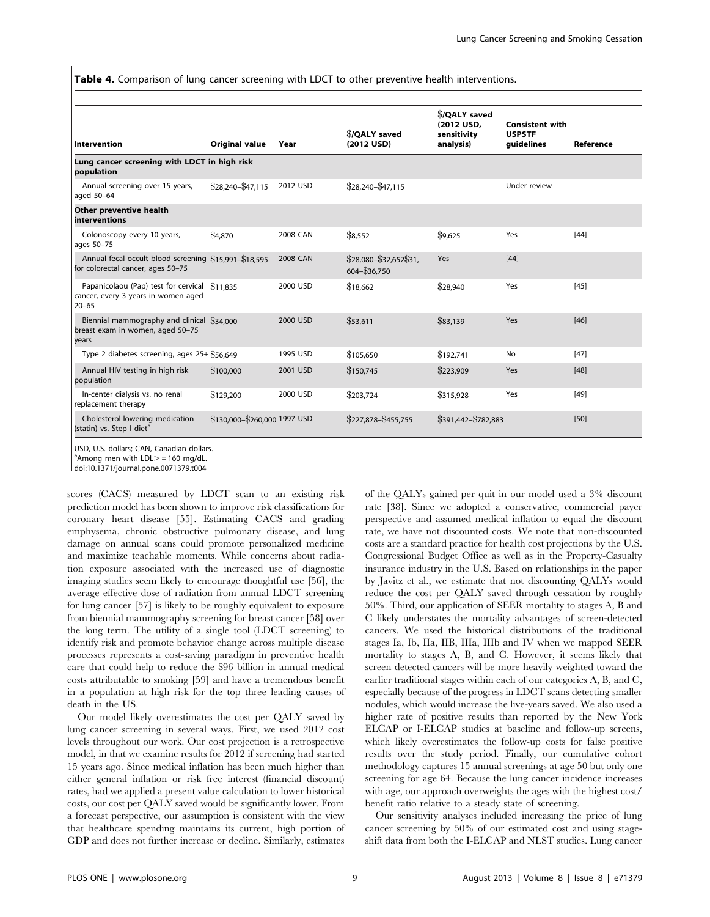Table 4. Comparison of lung cancer screening with LDCT to other preventive health interventions.

| Intervention                                                                                  | Original value               | Year     | <b>S/OALY saved</b><br>(2012 USD)      | <b><i>S</i>/OALY</b> saved<br>(2012 USD,<br>sensitivity<br>analysis) | <b>Consistent with</b><br><b>USPSTF</b><br>quidelines | Reference |
|-----------------------------------------------------------------------------------------------|------------------------------|----------|----------------------------------------|----------------------------------------------------------------------|-------------------------------------------------------|-----------|
| Lung cancer screening with LDCT in high risk<br>population                                    |                              |          |                                        |                                                                      |                                                       |           |
| Annual screening over 15 years,<br>aged 50-64                                                 | \$28,240-\$47,115            | 2012 USD | \$28,240-\$47,115                      |                                                                      | Under review                                          |           |
| Other preventive health<br><i>interventions</i>                                               |                              |          |                                        |                                                                      |                                                       |           |
| Colonoscopy every 10 years,<br>ages 50-75                                                     | \$4,870                      | 2008 CAN | \$8.552                                | \$9.625                                                              | Yes                                                   | [44]      |
| Annual fecal occult blood screening \$15,991-\$18,595<br>for colorectal cancer, ages 50-75    |                              | 2008 CAN | \$28,080-\$32,652\$31,<br>604-\$36.750 | Yes                                                                  | $[44]$                                                |           |
| Papanicolaou (Pap) test for cervical \$11,835<br>cancer, every 3 years in women aged<br>20-65 |                              | 2000 USD | \$18,662                               | \$28,940                                                             | Yes                                                   | $[45]$    |
| Biennial mammography and clinical \$34,000<br>breast exam in women, aged 50-75<br>years       |                              | 2000 USD | \$53,611                               | \$83,139                                                             | Yes                                                   | $[46]$    |
| Type 2 diabetes screening, ages 25+ \$56.649                                                  |                              | 1995 USD | \$105,650                              | \$192,741                                                            | <b>No</b>                                             | $[47]$    |
| Annual HIV testing in high risk<br>population                                                 | \$100,000                    | 2001 USD | \$150,745                              | \$223,909                                                            | Yes                                                   | [48]      |
| In-center dialysis vs. no renal<br>replacement therapy                                        | \$129,200                    | 2000 USD | \$203,724                              | \$315,928                                                            | Yes                                                   | $[49]$    |
| Cholesterol-lowering medication<br>(statin) vs. Step I diet <sup>a</sup>                      | \$130,000-\$260,000 1997 USD |          | \$227.878-\$455.755                    | $$391.442 - $782.883$                                                |                                                       | [50]      |

USD, U.S. dollars; CAN, Canadian dollars.

 $a^2$ Among men with LDL $>$  = 160 mg/dL.

doi:10.1371/journal.pone.0071379.t004

scores (CACS) measured by LDCT scan to an existing risk prediction model has been shown to improve risk classifications for coronary heart disease [55]. Estimating CACS and grading emphysema, chronic obstructive pulmonary disease, and lung damage on annual scans could promote personalized medicine and maximize teachable moments. While concerns about radiation exposure associated with the increased use of diagnostic imaging studies seem likely to encourage thoughtful use [56], the average effective dose of radiation from annual LDCT screening for lung cancer [57] is likely to be roughly equivalent to exposure from biennial mammography screening for breast cancer [58] over the long term. The utility of a single tool (LDCT screening) to identify risk and promote behavior change across multiple disease processes represents a cost-saving paradigm in preventive health care that could help to reduce the \$96 billion in annual medical costs attributable to smoking [59] and have a tremendous benefit in a population at high risk for the top three leading causes of death in the US.

Our model likely overestimates the cost per QALY saved by lung cancer screening in several ways. First, we used 2012 cost levels throughout our work. Our cost projection is a retrospective model, in that we examine results for 2012 if screening had started 15 years ago. Since medical inflation has been much higher than either general inflation or risk free interest (financial discount) rates, had we applied a present value calculation to lower historical costs, our cost per QALY saved would be significantly lower. From a forecast perspective, our assumption is consistent with the view that healthcare spending maintains its current, high portion of GDP and does not further increase or decline. Similarly, estimates

of the QALYs gained per quit in our model used a 3% discount rate [38]. Since we adopted a conservative, commercial payer perspective and assumed medical inflation to equal the discount rate, we have not discounted costs. We note that non-discounted costs are a standard practice for health cost projections by the U.S. Congressional Budget Office as well as in the Property-Casualty insurance industry in the U.S. Based on relationships in the paper by Javitz et al., we estimate that not discounting QALYs would reduce the cost per QALY saved through cessation by roughly 50%. Third, our application of SEER mortality to stages A, B and C likely understates the mortality advantages of screen-detected cancers. We used the historical distributions of the traditional stages Ia, Ib, IIa, IIB, IIIa, IIIb and IV when we mapped SEER mortality to stages A, B, and C. However, it seems likely that screen detected cancers will be more heavily weighted toward the earlier traditional stages within each of our categories A, B, and C, especially because of the progress in LDCT scans detecting smaller nodules, which would increase the live-years saved. We also used a higher rate of positive results than reported by the New York ELCAP or I-ELCAP studies at baseline and follow-up screens, which likely overestimates the follow-up costs for false positive results over the study period. Finally, our cumulative cohort methodology captures 15 annual screenings at age 50 but only one screening for age 64. Because the lung cancer incidence increases with age, our approach overweights the ages with the highest cost/ benefit ratio relative to a steady state of screening.

Our sensitivity analyses included increasing the price of lung cancer screening by 50% of our estimated cost and using stageshift data from both the I-ELCAP and NLST studies. Lung cancer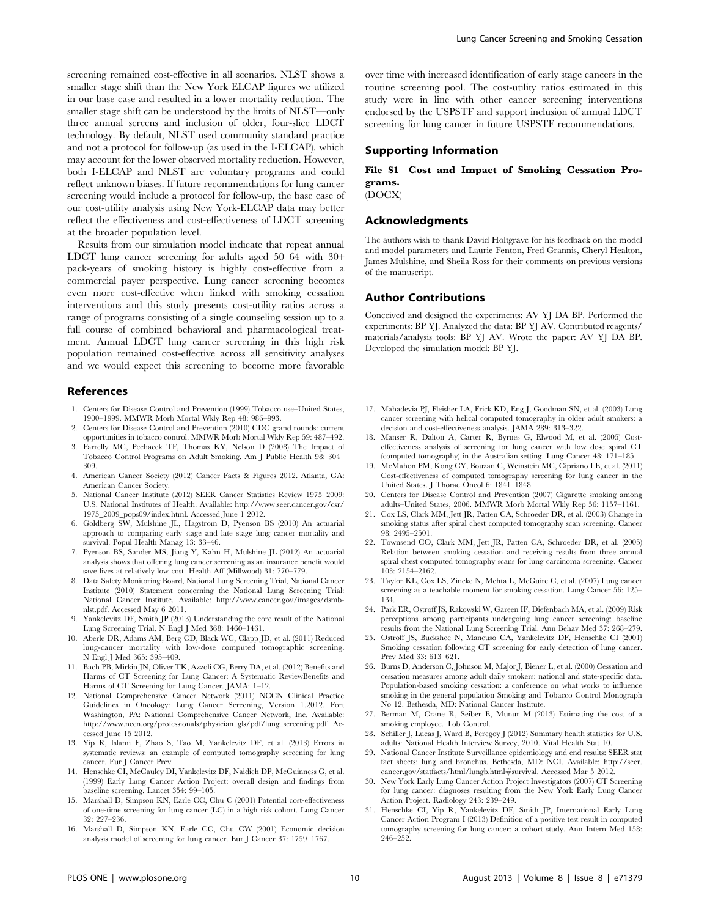screening remained cost-effective in all scenarios. NLST shows a smaller stage shift than the New York ELCAP figures we utilized in our base case and resulted in a lower mortality reduction. The smaller stage shift can be understood by the limits of NLST—only three annual screens and inclusion of older, four-slice LDCT technology. By default, NLST used community standard practice and not a protocol for follow-up (as used in the I-ELCAP), which may account for the lower observed mortality reduction. However, both I-ELCAP and NLST are voluntary programs and could reflect unknown biases. If future recommendations for lung cancer screening would include a protocol for follow-up, the base case of our cost-utility analysis using New York-ELCAP data may better reflect the effectiveness and cost-effectiveness of LDCT screening at the broader population level.

Results from our simulation model indicate that repeat annual LDCT lung cancer screening for adults aged 50–64 with 30+ pack-years of smoking history is highly cost-effective from a commercial payer perspective. Lung cancer screening becomes even more cost-effective when linked with smoking cessation interventions and this study presents cost-utility ratios across a range of programs consisting of a single counseling session up to a full course of combined behavioral and pharmacological treatment. Annual LDCT lung cancer screening in this high risk population remained cost-effective across all sensitivity analyses and we would expect this screening to become more favorable

#### References

- 1. Centers for Disease Control and Prevention (1999) Tobacco use–United States, 1900–1999. MMWR Morb Mortal Wkly Rep 48: 986–993.
- 2. Centers for Disease Control and Prevention (2010) CDC grand rounds: current opportunities in tobacco control. MMWR Morb Mortal Wkly Rep 59: 487–492.
- 3. Farrelly MC, Pechacek TF, Thomas KY, Nelson D (2008) The Impact of Tobacco Control Programs on Adult Smoking. Am J Public Health 98: 304– 309.
- 4. American Cancer Society (2012) Cancer Facts & Figures 2012. Atlanta, GA: American Cancer Society.
- 5. National Cancer Institute (2012) SEER Cancer Statistics Review 1975–2009: U.S. National Institutes of Health. Available: http://www.seer.cancer.gov/csr/ 1975\_2009\_pops09/index.html. Accessed June 1 2012.
- 6. Goldberg SW, Mulshine JL, Hagstrom D, Pyenson BS (2010) An actuarial approach to comparing early stage and late stage lung cancer mortality and survival. Popul Health Manag 13: 33–46.
- 7. Pyenson BS, Sander MS, Jiang Y, Kahn H, Mulshine JL (2012) An actuarial analysis shows that offering lung cancer screening as an insurance benefit would save lives at relatively low cost. Health Aff (Millwood) 31: 770–779.
- 8. Data Safety Monitoring Board, National Lung Screening Trial, National Cancer Institute (2010) Statement concerning the National Lung Screening Trial: National Cancer Institute. Available: http://www.cancer.gov/images/dsmbnlst.pdf. Accessed May 6 2011.
- 9. Yankelevitz DF, Smith JP (2013) Understanding the core result of the National Lung Screening Trial. N Engl J Med 368: 1460–1461.
- 10. Aberle DR, Adams AM, Berg CD, Black WC, Clapp JD, et al. (2011) Reduced lung-cancer mortality with low-dose computed tomographic screening. N Engl J Med 365: 395–409.
- 11. Bach PB, Mirkin JN, Oliver TK, Azzoli CG, Berry DA, et al. (2012) Benefits and Harms of CT Screening for Lung Cancer: A Systematic ReviewBenefits and Harms of CT Screening for Lung Cancer. JAMA: 1–12.
- 12. National Comprehensive Cancer Network (2011) NCCN Clinical Practice Guidelines in Oncology: Lung Cancer Screening, Version 1.2012. Fort Washington, PA: National Comprehensive Cancer Network, Inc. Available: http://www.nccn.org/professionals/physician\_gls/pdf/lung\_screening.pdf. Accessed June 15 2012.
- 13. Yip R, Islami F, Zhao S, Tao M, Yankelevitz DF, et al. (2013) Errors in systematic reviews: an example of computed tomography screening for lung cancer. Eur J Cancer Prev.
- 14. Henschke CI, McCauley DI, Yankelevitz DF, Naidich DP, McGuinness G, et al. (1999) Early Lung Cancer Action Project: overall design and findings from baseline screening. Lancet 354: 99–105.
- 15. Marshall D, Simpson KN, Earle CC, Chu C (2001) Potential cost-effectiveness of one-time screening for lung cancer (LC) in a high risk cohort. Lung Cancer 32: 227–236.
- 16. Marshall D, Simpson KN, Earle CC, Chu CW (2001) Economic decision analysis model of screening for lung cancer. Eur J Cancer 37: 1759–1767.

over time with increased identification of early stage cancers in the routine screening pool. The cost-utility ratios estimated in this study were in line with other cancer screening interventions endorsed by the USPSTF and support inclusion of annual LDCT screening for lung cancer in future USPSTF recommendations.

# Supporting Information

# File S1 Cost and Impact of Smoking Cessation Programs.

(DOCX)

## Acknowledgments

The authors wish to thank David Holtgrave for his feedback on the model and model parameters and Laurie Fenton, Fred Grannis, Cheryl Healton, James Mulshine, and Sheila Ross for their comments on previous versions of the manuscript.

#### Author Contributions

Conceived and designed the experiments: AV YJ DA BP. Performed the experiments: BP YJ. Analyzed the data: BP YJ AV. Contributed reagents/ materials/analysis tools: BP YJ AV. Wrote the paper: AV YJ DA BP. Developed the simulation model: BP YJ.

- 17. Mahadevia PJ, Fleisher LA, Frick KD, Eng J, Goodman SN, et al. (2003) Lung cancer screening with helical computed tomography in older adult smokers: a decision and cost-effectiveness analysis. JAMA 289: 313–322.
- 18. Manser R, Dalton A, Carter R, Byrnes G, Elwood M, et al. (2005) Costeffectiveness analysis of screening for lung cancer with low dose spiral CT (computed tomography) in the Australian setting. Lung Cancer 48: 171–185.
- 19. McMahon PM, Kong CY, Bouzan C, Weinstein MC, Cipriano LE, et al. (2011) Cost-effectiveness of computed tomography screening for lung cancer in the United States. J Thorac Oncol 6: 1841–1848.
- 20. Centers for Disease Control and Prevention (2007) Cigarette smoking among adults–United States, 2006. MMWR Morb Mortal Wkly Rep 56: 1157–1161.
- 21. Cox LS, Clark MM, Jett JR, Patten CA, Schroeder DR, et al. (2003) Change in smoking status after spiral chest computed tomography scan screening. Cancer 98: 2495–2501.
- 22. Townsend CO, Clark MM, Jett JR, Patten CA, Schroeder DR, et al. (2005) Relation between smoking cessation and receiving results from three annual spiral chest computed tomography scans for lung carcinoma screening. Cancer 103: 2154–2162.
- 23. Taylor KL, Cox LS, Zincke N, Mehta L, McGuire C, et al. (2007) Lung cancer screening as a teachable moment for smoking cessation. Lung Cancer 56: 125– 134.
- 24. Park ER, Ostroff JS, Rakowski W, Gareen IF, Diefenbach MA, et al. (2009) Risk perceptions among participants undergoing lung cancer screening: baseline results from the National Lung Screening Trial. Ann Behav Med 37: 268–279.
- 25. Ostroff JS, Buckshee N, Mancuso CA, Yankelevitz DF, Henschke CI (2001) Smoking cessation following CT screening for early detection of lung cancer. Prev Med 33: 613–621.
- 26. Burns D, Anderson C, Johnson M, Major J, Biener L, et al. (2000) Cessation and cessation measures among adult daily smokers: national and state-specific data. Population-based smoking cessation: a conference on what works to influence smoking in the general population Smoking and Tobacco Control Monograph No 12. Bethesda, MD: National Cancer Institute.
- 27. Berman M, Crane R, Seiber E, Munur M (2013) Estimating the cost of a smoking employee. Tob Control.
- 28. Schiller J, Lucas J, Ward B, Peregoy J (2012) Summary health statistics for U.S. adults: National Health Interview Survey, 2010. Vital Health Stat 10.
- 29. National Cancer Institute Surveillance epidemiology and end results: SEER stat fact sheets: lung and bronchus. Bethesda, MD: NCI. Available: http://seer. cancer.gov/statfacts/html/lungb.html#survival. Accessed Mar 5 2012.
- 30. New York Early Lung Cancer Action Project Investigators (2007) CT Screening for lung cancer: diagnoses resulting from the New York Early Lung Cancer Action Project. Radiology 243: 239–249.
- 31. Henschke CI, Yip R, Yankelevitz DF, Smith JP, International Early Lung Cancer Action Program I (2013) Definition of a positive test result in computed tomography screening for lung cancer: a cohort study. Ann Intern Med 158: 246–252.